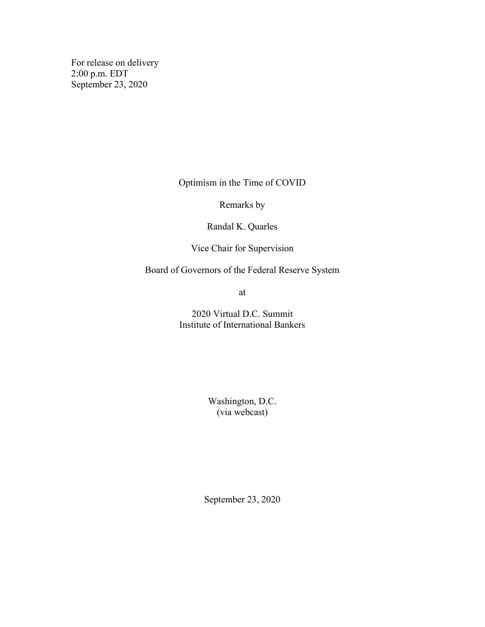For release on delivery 2:00 p.m. EDT September 23, 2020

Optimism in the Time of COVID

Remarks by

Randal K. Quarles

Vice Chair for Supervision

Board of Governors of the Federal Reserve System

at

2020 Virtual D.C. Summit Institute of International Bankers

> Washington, D.C. (via webcast)

September 23, 2020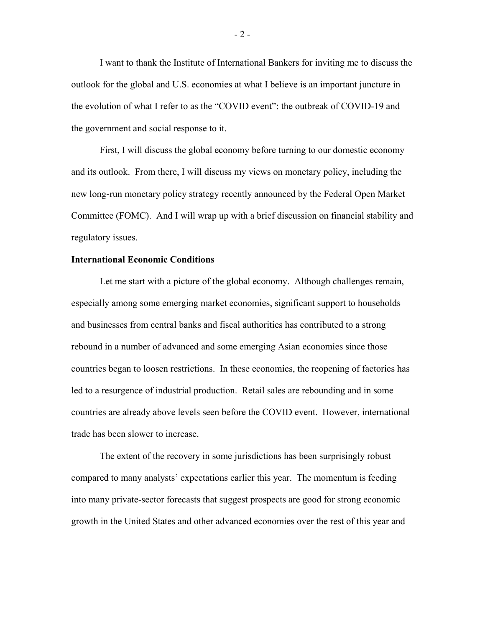I want to thank the Institute of International Bankers for inviting me to discuss the outlook for the global and U.S. economies at what I believe is an important juncture in the evolution of what I refer to as the "COVID event": the outbreak of COVID-19 and the government and social response to it.

First, I will discuss the global economy before turning to our domestic economy and its outlook. From there, I will discuss my views on monetary policy, including the new long-run monetary policy strategy recently announced by the Federal Open Market Committee (FOMC). And I will wrap up with a brief discussion on financial stability and regulatory issues.

## **International Economic Conditions**

Let me start with a picture of the global economy. Although challenges remain, especially among some emerging market economies, significant support to households and businesses from central banks and fiscal authorities has contributed to a strong rebound in a number of advanced and some emerging Asian economies since those countries began to loosen restrictions. In these economies, the reopening of factories has led to a resurgence of industrial production. Retail sales are rebounding and in some countries are already above levels seen before the COVID event. However, international trade has been slower to increase.

The extent of the recovery in some jurisdictions has been surprisingly robust compared to many analysts' expectations earlier this year. The momentum is feeding into many private-sector forecasts that suggest prospects are good for strong economic growth in the United States and other advanced economies over the rest of this year and

- 2 -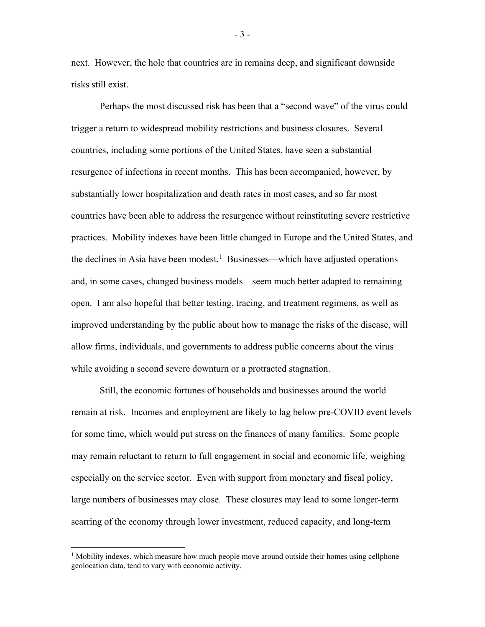next. However, the hole that countries are in remains deep, and significant downside risks still exist.

Perhaps the most discussed risk has been that a "second wave" of the virus could trigger a return to widespread mobility restrictions and business closures. Several countries, including some portions of the United States, have seen a substantial resurgence of infections in recent months. This has been accompanied, however, by substantially lower hospitalization and death rates in most cases, and so far most countries have been able to address the resurgence without reinstituting severe restrictive practices. Mobility indexes have been little changed in Europe and the United States, and the declines in Asia have been modest.<sup>[1](#page-2-0)</sup> Businesses—which have adjusted operations and, in some cases, changed business models—seem much better adapted to remaining open. I am also hopeful that better testing, tracing, and treatment regimens, as well as improved understanding by the public about how to manage the risks of the disease, will allow firms, individuals, and governments to address public concerns about the virus while avoiding a second severe downturn or a protracted stagnation.

Still, the economic fortunes of households and businesses around the world remain at risk. Incomes and employment are likely to lag below pre-COVID event levels for some time, which would put stress on the finances of many families. Some people may remain reluctant to return to full engagement in social and economic life, weighing especially on the service sector. Even with support from monetary and fiscal policy, large numbers of businesses may close. These closures may lead to some longer-term scarring of the economy through lower investment, reduced capacity, and long-term

- 3 -

<span id="page-2-0"></span><sup>&</sup>lt;sup>1</sup> Mobility indexes, which measure how much people move around outside their homes using cellphone geolocation data, tend to vary with economic activity.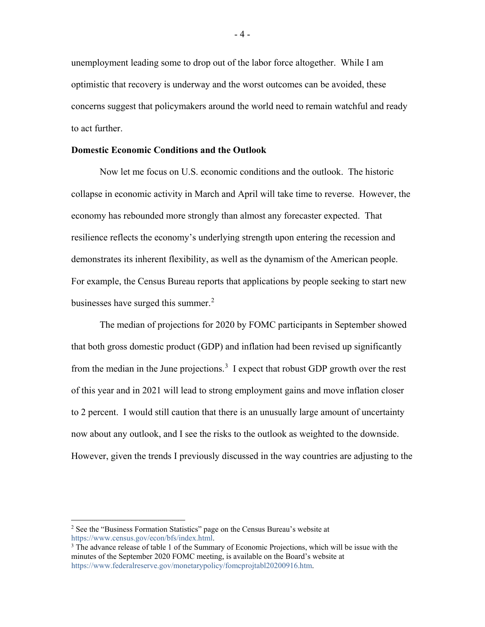unemployment leading some to drop out of the labor force altogether. While I am optimistic that recovery is underway and the worst outcomes can be avoided, these concerns suggest that policymakers around the world need to remain watchful and ready to act further.

# **Domestic Economic Conditions and the Outlook**

Now let me focus on U.S. economic conditions and the outlook. The historic collapse in economic activity in March and April will take time to reverse. However, the economy has rebounded more strongly than almost any forecaster expected. That resilience reflects the economy's underlying strength upon entering the recession and demonstrates its inherent flexibility, as well as the dynamism of the American people. For example, the Census Bureau reports that applications by people seeking to start new businesses have surged this summer.<sup>[2](#page-3-0)</sup>

The median of projections for 2020 by FOMC participants in September showed that both gross domestic product (GDP) and inflation had been revised up significantly from the median in the June projections.<sup>[3](#page-3-1)</sup> I expect that robust GDP growth over the rest of this year and in 2021 will lead to strong employment gains and move inflation closer to 2 percent. I would still caution that there is an unusually large amount of uncertainty now about any outlook, and I see the risks to the outlook as weighted to the downside. However, given the trends I previously discussed in the way countries are adjusting to the

<span id="page-3-0"></span><sup>&</sup>lt;sup>2</sup> See the "Business Formation Statistics" page on the Census Bureau's website at [https://www.census.gov/econ/bfs/index.html.](https://www.census.gov/econ/bfs/index.html)

<span id="page-3-1"></span><sup>&</sup>lt;sup>3</sup> The advance release of table 1 of the Summary of Economic Projections, which will be issue with the minutes of the September 2020 FOMC meeting, is available on the Board's website at [https://www.federalreserve.gov/monetarypolicy/fomcprojtabl20200916.htm.](https://www.federalreserve.gov/monetarypolicy/fomcprojtabl20200916.htm)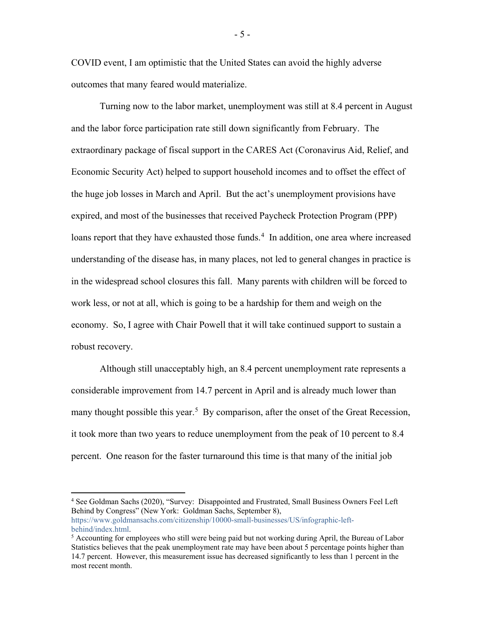COVID event, I am optimistic that the United States can avoid the highly adverse outcomes that many feared would materialize.

Turning now to the labor market, unemployment was still at 8.4 percent in August and the labor force participation rate still down significantly from February. The extraordinary package of fiscal support in the CARES Act (Coronavirus Aid, Relief, and Economic Security Act) helped to support household incomes and to offset the effect of the huge job losses in March and April. But the act's unemployment provisions have expired, and most of the businesses that received Paycheck Protection Program (PPP) loans report that they have exhausted those funds.<sup>[4](#page-4-0)</sup> In addition, one area where increased understanding of the disease has, in many places, not led to general changes in practice is in the widespread school closures this fall. Many parents with children will be forced to work less, or not at all, which is going to be a hardship for them and weigh on the economy. So, I agree with Chair Powell that it will take continued support to sustain a robust recovery.

Although still unacceptably high, an 8.4 percent unemployment rate represents a considerable improvement from 14.7 percent in April and is already much lower than many thought possible this year.<sup>[5](#page-4-1)</sup> By comparison, after the onset of the Great Recession, it took more than two years to reduce unemployment from the peak of 10 percent to 8.4 percent. One reason for the faster turnaround this time is that many of the initial job

- 5 -

<span id="page-4-0"></span><sup>&</sup>lt;sup>4</sup> See Goldman Sachs (2020), "Survey: Disappointed and Frustrated, Small Business Owners Feel Left Behind by Congress" (New York: Goldman Sachs, September 8), [https://www.goldmansachs.com/citizenship/10000-small-businesses/US/infographic-left](https://www.goldmansachs.com/citizenship/10000-small-businesses/US/infographic-left-behind/index.html)[behind/index.html.](https://www.goldmansachs.com/citizenship/10000-small-businesses/US/infographic-left-behind/index.html)

<span id="page-4-1"></span><sup>5</sup> Accounting for employees who still were being paid but not working during April, the Bureau of Labor Statistics believes that the peak unemployment rate may have been about 5 percentage points higher than 14.7 percent. However, this measurement issue has decreased significantly to less than 1 percent in the most recent month.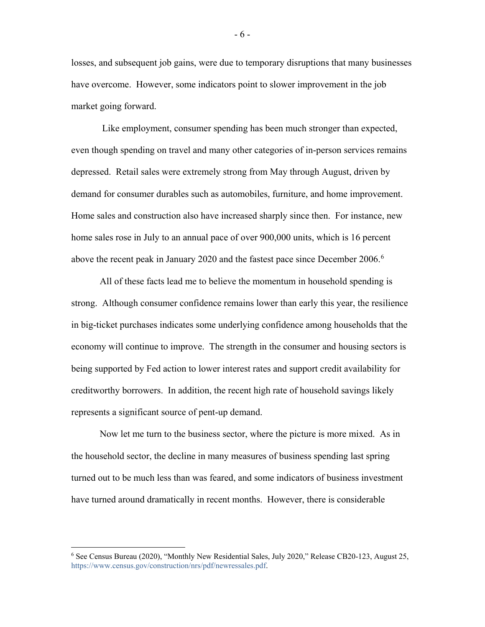losses, and subsequent job gains, were due to temporary disruptions that many businesses have overcome. However, some indicators point to slower improvement in the job market going forward.

Like employment, consumer spending has been much stronger than expected, even though spending on travel and many other categories of in-person services remains depressed. Retail sales were extremely strong from May through August, driven by demand for consumer durables such as automobiles, furniture, and home improvement. Home sales and construction also have increased sharply since then. For instance, new home sales rose in July to an annual pace of over 900,000 units, which is 16 percent above the recent peak in January 2020 and the fastest pace since December 200[6](#page-5-0).<sup>6</sup>

All of these facts lead me to believe the momentum in household spending is strong. Although consumer confidence remains lower than early this year, the resilience in big-ticket purchases indicates some underlying confidence among households that the economy will continue to improve. The strength in the consumer and housing sectors is being supported by Fed action to lower interest rates and support credit availability for creditworthy borrowers. In addition, the recent high rate of household savings likely represents a significant source of pent-up demand.

Now let me turn to the business sector, where the picture is more mixed. As in the household sector, the decline in many measures of business spending last spring turned out to be much less than was feared, and some indicators of business investment have turned around dramatically in recent months. However, there is considerable

- 6 -

<span id="page-5-0"></span> <sup>6</sup> See Census Bureau (2020), "Monthly New Residential Sales, July 2020," Release CB20-123, August 25, [https://www.census.gov/construction/nrs/pdf/newressales.pdf.](https://www.census.gov/construction/nrs/pdf/newressales.pdf)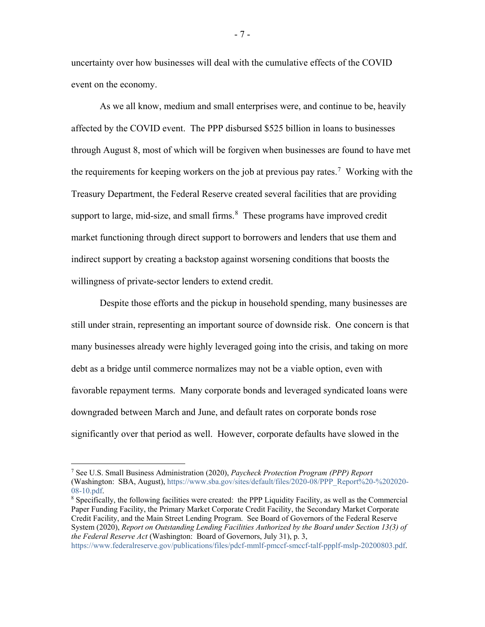uncertainty over how businesses will deal with the cumulative effects of the COVID event on the economy.

As we all know, medium and small enterprises were, and continue to be, heavily affected by the COVID event. The PPP disbursed \$525 billion in loans to businesses through August 8, most of which will be forgiven when businesses are found to have met the requirements for keeping workers on the job at previous pay rates.<sup>[7](#page-6-0)</sup> Working with the Treasury Department, the Federal Reserve created several facilities that are providing support to large, mid-size, and small firms.<sup>[8](#page-6-1)</sup> These programs have improved credit market functioning through direct support to borrowers and lenders that use them and indirect support by creating a backstop against worsening conditions that boosts the willingness of private-sector lenders to extend credit.

Despite those efforts and the pickup in household spending, many businesses are still under strain, representing an important source of downside risk. One concern is that many businesses already were highly leveraged going into the crisis, and taking on more debt as a bridge until commerce normalizes may not be a viable option, even with favorable repayment terms. Many corporate bonds and leveraged syndicated loans were downgraded between March and June, and default rates on corporate bonds rose significantly over that period as well. However, corporate defaults have slowed in the

[https://www.federalreserve.gov/publications/files/pdcf-mmlf-pmccf-smccf-talf-ppplf-mslp-20200803.pdf.](https://www.federalreserve.gov/publications/files/pdcf-mmlf-pmccf-smccf-talf-ppplf-mslp-20200803.pdf)

- 7 -

<span id="page-6-0"></span> <sup>7</sup> See U.S. Small Business Administration (2020), *Paycheck Protection Program (PPP) Report* (Washington: SBA, August), [https://www.sba.gov/sites/default/files/2020-08/PPP\\_Report%20-%202020-](https://www.sba.gov/sites/default/files/2020-08/PPP_Report%20-%202020-08-10.pdf) [08-10.pdf.](https://www.sba.gov/sites/default/files/2020-08/PPP_Report%20-%202020-08-10.pdf)

<span id="page-6-1"></span><sup>8</sup> Specifically, the following facilities were created: the PPP Liquidity Facility, as well as the Commercial Paper Funding Facility, the Primary Market Corporate Credit Facility, the Secondary Market Corporate Credit Facility, and the Main Street Lending Program. See Board of Governors of the Federal Reserve System (2020), *Report on Outstanding Lending Facilities Authorized by the Board under Section 13(3) of the Federal Reserve Act* (Washington: Board of Governors, July 31), p. 3,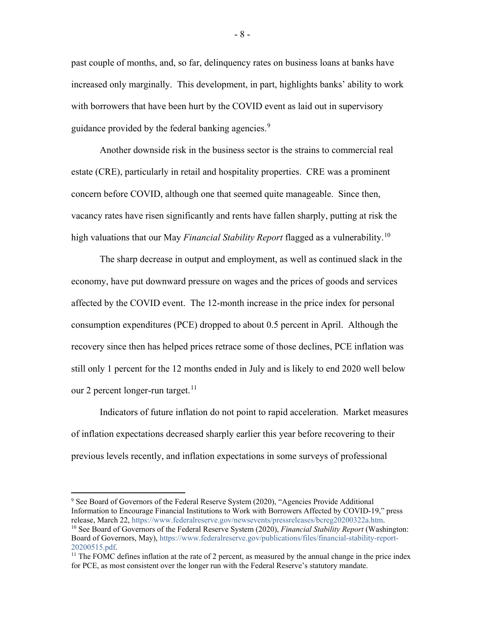past couple of months, and, so far, delinquency rates on business loans at banks have increased only marginally. This development, in part, highlights banks' ability to work with borrowers that have been hurt by the COVID event as laid out in supervisory guidance provided by the federal banking agencies.<sup>[9](#page-7-0)</sup>

Another downside risk in the business sector is the strains to commercial real estate (CRE), particularly in retail and hospitality properties. CRE was a prominent concern before COVID, although one that seemed quite manageable. Since then, vacancy rates have risen significantly and rents have fallen sharply, putting at risk the high valuations that our May *Financial Stability Report* flagged as a vulnerability.[10](#page-7-1)

The sharp decrease in output and employment, as well as continued slack in the economy, have put downward pressure on wages and the prices of goods and services affected by the COVID event. The 12-month increase in the price index for personal consumption expenditures (PCE) dropped to about 0.5 percent in April. Although the recovery since then has helped prices retrace some of those declines, PCE inflation was still only 1 percent for the 12 months ended in July and is likely to end 2020 well below our 2 percent longer-run target.<sup>11</sup>

Indicators of future inflation do not point to rapid acceleration. Market measures of inflation expectations decreased sharply earlier this year before recovering to their previous levels recently, and inflation expectations in some surveys of professional

<span id="page-7-1"></span><span id="page-7-0"></span><sup>&</sup>lt;sup>9</sup> See Board of Governors of the Federal Reserve System (2020), "Agencies Provide Additional Information to Encourage Financial Institutions to Work with Borrowers Affected by COVID-19," press release, March 22, [https://www.federalreserve.gov/newsevents/pressreleases/bcreg20200322a.htm.](https://www.federalreserve.gov/newsevents/pressreleases/bcreg20200322a.htm) <sup>10</sup> See Board of Governors of the Federal Reserve System (2020), *Financial Stability Report* (Washington: Board of Governors, May)[, https://www.federalreserve.gov/publications/files/financial-stability-report-](https://www.federalreserve.gov/publications/files/financial-stability-report-20200515.pdf)[20200515.pdf.](https://www.federalreserve.gov/publications/files/financial-stability-report-20200515.pdf)

<span id="page-7-2"></span> $11$  The FOMC defines inflation at the rate of 2 percent, as measured by the annual change in the price index for PCE, as most consistent over the longer run with the Federal Reserve's statutory mandate.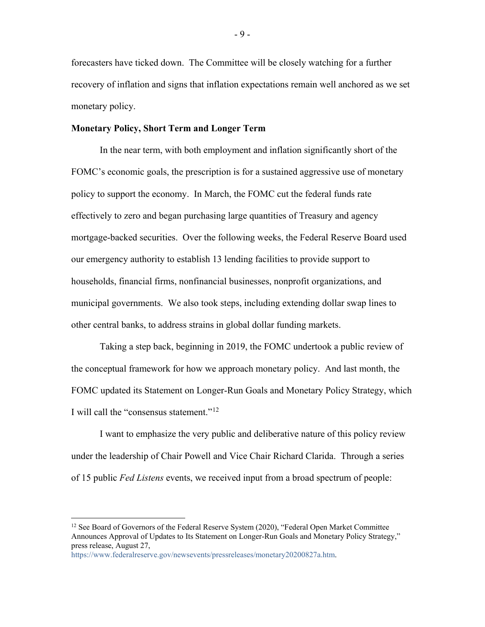forecasters have ticked down. The Committee will be closely watching for a further recovery of inflation and signs that inflation expectations remain well anchored as we set monetary policy.

# **Monetary Policy, Short Term and Longer Term**

In the near term, with both employment and inflation significantly short of the FOMC's economic goals, the prescription is for a sustained aggressive use of monetary policy to support the economy. In March, the FOMC cut the federal funds rate effectively to zero and began purchasing large quantities of Treasury and agency mortgage-backed securities. Over the following weeks, the Federal Reserve Board used our emergency authority to establish 13 lending facilities to provide support to households, financial firms, nonfinancial businesses, nonprofit organizations, and municipal governments. We also took steps, including extending dollar swap lines to other central banks, to address strains in global dollar funding markets.

Taking a step back, beginning in 2019, the FOMC undertook a public review of the conceptual framework for how we approach monetary policy. And last month, the FOMC updated its Statement on Longer-Run Goals and Monetary Policy Strategy, which I will call the "consensus statement."<sup>[12](#page-8-0)</sup>

I want to emphasize the very public and deliberative nature of this policy review under the leadership of Chair Powell and Vice Chair Richard Clarida. Through a series of 15 public *Fed Listens* events, we received input from a broad spectrum of people:

<span id="page-8-0"></span><sup>&</sup>lt;sup>12</sup> See Board of Governors of the Federal Reserve System (2020), "Federal Open Market Committee Announces Approval of Updates to Its Statement on Longer-Run Goals and Monetary Policy Strategy," press release, August 27,

[https://www.federalreserve.gov/newsevents/pressreleases/monetary20200827a.htm.](https://www.federalreserve.gov/newsevents/pressreleases/monetary20200827a.htm)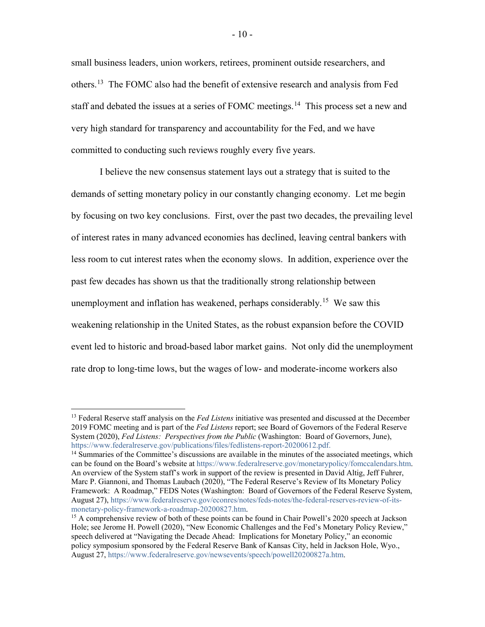small business leaders, union workers, retirees, prominent outside researchers, and others.<sup>13</sup> The FOMC also had the benefit of extensive research and analysis from Fed staff and debated the issues at a series of FOMC meetings.<sup>[14](#page-9-1)</sup> This process set a new and very high standard for transparency and accountability for the Fed, and we have committed to conducting such reviews roughly every five years.

I believe the new consensus statement lays out a strategy that is suited to the demands of setting monetary policy in our constantly changing economy. Let me begin by focusing on two key conclusions. First, over the past two decades, the prevailing level of interest rates in many advanced economies has declined, leaving central bankers with less room to cut interest rates when the economy slows. In addition, experience over the past few decades has shown us that the traditionally strong relationship between unemployment and inflation has weakened, perhaps considerably.<sup>[15](#page-9-2)</sup> We saw this weakening relationship in the United States, as the robust expansion before the COVID event led to historic and broad-based labor market gains. Not only did the unemployment rate drop to long-time lows, but the wages of low- and moderate-income workers also

<span id="page-9-0"></span> <sup>13</sup> Federal Reserve staff analysis on the *Fed Listens* initiative was presented and discussed at the December 2019 FOMC meeting and is part of the *Fed Listens* report; see Board of Governors of the Federal Reserve System (2020), *Fed Listens: Perspectives from the Public* (Washington: Board of Governors, June), [https://www.federalreserve.gov/publications/files/fedlistens-report-20200612.pdf.](https://www.federalreserve.gov/publications/files/fedlistens-report-20200612.pdf)

<span id="page-9-1"></span><sup>&</sup>lt;sup>14</sup> Summaries of the Committee's discussions are available in the minutes of the associated meetings, which can be found on the Board's website at [https://www.federalreserve.gov/monetarypolicy/fomccalendars.htm.](https://www.federalreserve.gov/monetarypolicy/fomccalendars.htm) An overview of the System staff's work in support of the review is presented in David Altig, Jeff Fuhrer, Marc P. Giannoni, and Thomas Laubach (2020), "The Federal Reserve's Review of Its Monetary Policy Framework: A Roadmap," FEDS Notes (Washington: Board of Governors of the Federal Reserve System, August 27)[, https://www.federalreserve.gov/econres/notes/feds-notes/the-federal-reserves-review-of-its-](https://www.federalreserve.gov/econres/notes/feds-notes/the-federal-reserves-review-of-its-monetary-policy-framework-a-roadmap-20200827.htm)

<span id="page-9-2"></span> $15$  A comprehensive review of both of these points can be found in Chair Powell's 2020 speech at Jackson Hole; see Jerome H. Powell (2020), "New Economic Challenges and the Fed's Monetary Policy Review," speech delivered at "Navigating the Decade Ahead: Implications for Monetary Policy," an economic policy symposium sponsored by the Federal Reserve Bank of Kansas City, held in Jackson Hole, Wyo., August 27, [https://www.federalreserve.gov/newsevents/speech/powell20200827a.htm.](https://www.federalreserve.gov/newsevents/speech/powell20200827a.htm)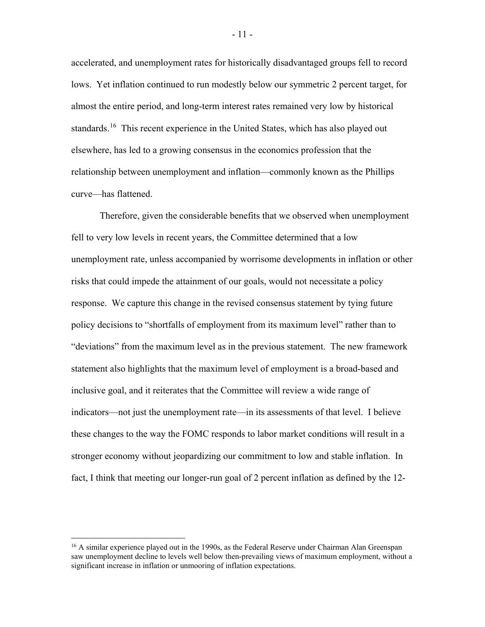accelerated, and unemployment rates for historically disadvantaged groups fell to record lows. Yet inflation continued to run modestly below our symmetric 2 percent target, for almost the entire period, and long-term interest rates remained very low by historical standards.<sup>16</sup> This recent experience in the United States, which has also played out elsewhere, has led to a growing consensus in the economics profession that the relationship between unemployment and inflation—commonly known as the Phillips curve—has flattened.

Therefore, given the considerable benefits that we observed when unemployment fell to very low levels in recent years, the Committee determined that a low unemployment rate, unless accompanied by worrisome developments in inflation or other risks that could impede the attainment of our goals, would not necessitate a policy response. We capture this change in the revised consensus statement by tying future policy decisions to "shortfalls of employment from its maximum level" rather than to "deviations" from the maximum level as in the previous statement. The new framework statement also highlights that the maximum level of employment is a broad-based and inclusive goal, and it reiterates that the Committee will review a wide range of indicators—not just the unemployment rate—in its assessments of that level. I believe these changes to the way the FOMC responds to labor market conditions will result in a stronger economy without jeopardizing our commitment to low and stable inflation. In fact, I think that meeting our longer-run goal of 2 percent inflation as defined by the 12-

<span id="page-10-0"></span><sup>&</sup>lt;sup>16</sup> A similar experience played out in the 1990s, as the Federal Reserve under Chairman Alan Greenspan saw unemployment decline to levels well below then-prevailing views of maximum employment, without a significant increase in inflation or unmooring of inflation expectations.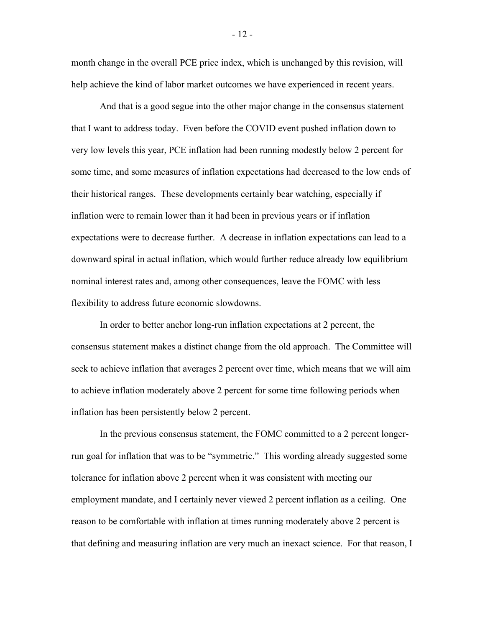month change in the overall PCE price index, which is unchanged by this revision, will help achieve the kind of labor market outcomes we have experienced in recent years.

And that is a good segue into the other major change in the consensus statement that I want to address today. Even before the COVID event pushed inflation down to very low levels this year, PCE inflation had been running modestly below 2 percent for some time, and some measures of inflation expectations had decreased to the low ends of their historical ranges. These developments certainly bear watching, especially if inflation were to remain lower than it had been in previous years or if inflation expectations were to decrease further. A decrease in inflation expectations can lead to a downward spiral in actual inflation, which would further reduce already low equilibrium nominal interest rates and, among other consequences, leave the FOMC with less flexibility to address future economic slowdowns.

In order to better anchor long-run inflation expectations at 2 percent, the consensus statement makes a distinct change from the old approach. The Committee will seek to achieve inflation that averages 2 percent over time, which means that we will aim to achieve inflation moderately above 2 percent for some time following periods when inflation has been persistently below 2 percent.

In the previous consensus statement, the FOMC committed to a 2 percent longerrun goal for inflation that was to be "symmetric." This wording already suggested some tolerance for inflation above 2 percent when it was consistent with meeting our employment mandate, and I certainly never viewed 2 percent inflation as a ceiling. One reason to be comfortable with inflation at times running moderately above 2 percent is that defining and measuring inflation are very much an inexact science. For that reason, I

- 12 -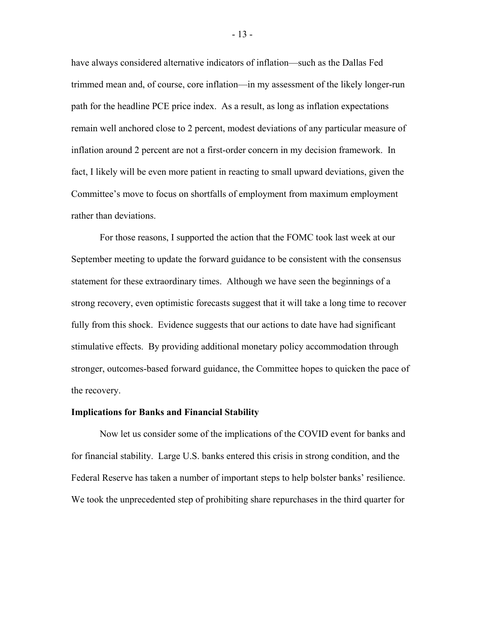have always considered alternative indicators of inflation—such as the Dallas Fed trimmed mean and, of course, core inflation—in my assessment of the likely longer-run path for the headline PCE price index. As a result, as long as inflation expectations remain well anchored close to 2 percent, modest deviations of any particular measure of inflation around 2 percent are not a first-order concern in my decision framework. In fact, I likely will be even more patient in reacting to small upward deviations, given the Committee's move to focus on shortfalls of employment from maximum employment rather than deviations.

For those reasons, I supported the action that the FOMC took last week at our September meeting to update the forward guidance to be consistent with the consensus statement for these extraordinary times. Although we have seen the beginnings of a strong recovery, even optimistic forecasts suggest that it will take a long time to recover fully from this shock. Evidence suggests that our actions to date have had significant stimulative effects. By providing additional monetary policy accommodation through stronger, outcomes-based forward guidance, the Committee hopes to quicken the pace of the recovery.

#### **Implications for Banks and Financial Stability**

Now let us consider some of the implications of the COVID event for banks and for financial stability. Large U.S. banks entered this crisis in strong condition, and the Federal Reserve has taken a number of important steps to help bolster banks' resilience. We took the unprecedented step of prohibiting share repurchases in the third quarter for

- 13 -